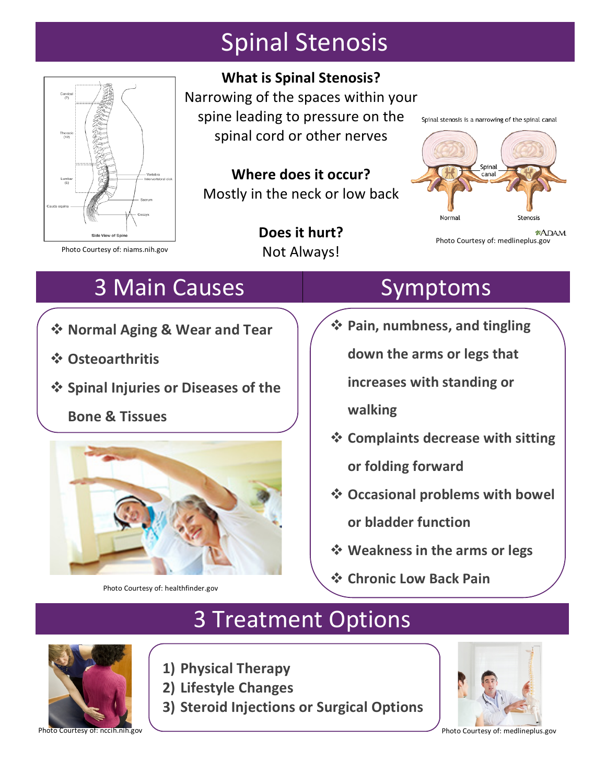# Spinal Stenosis



**What is Spinal Stenosis?** 

Narrowing of the spaces within your spine leading to pressure on the spinal cord or other nerves

**Where does it occur?** Mostly in the neck or low back

> **Does it hurt?** Not Always!

Spinal stenosis is a narrowing of the spinal canal



**\*ADAM** Photo Courtesy of: medlineplus.gov

Photo Courtesy of: niams.nih.gov

# 3 Main Causes **Symptoms**

- $\div$  **Normal Aging & Wear and Tear**
- v **Osteoarthritis**
- $\div$  Spinal Injuries or Diseases of the

**Bone & Tissues**



Photo Courtesy of: healthfinder.gov

**❖ Pain, numbness, and tingling** down the arms or legs that

**increases with standing or** 

**walking**

- **❖ Complaints decrease with sitting** or folding forward
- **❖ Occasional problems with bowel or bladder function**
- $\diamond$  **Weakness in the arms or legs**
- **← Chronic Low Back Pain**

## 3 Treatment Options

- 
- **1) Physical Therapy**
- **2) Lifestyle Changes**
- **3) Steroid Injections or Surgical Options**



Photo Courtesy of: medlineplus.gov

Photo Courtesy of: nccih.nih.gov